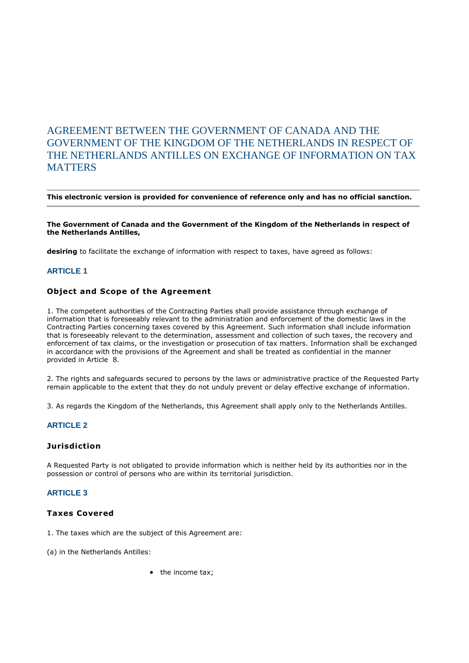# AGREEMENT BETWEEN THE GOVERNMENT OF CANADA AND THE GOVERNMENT OF THE KINGDOM OF THE NETHERLANDS IN RESPECT OF THE NETHERLANDS ANTILLES ON EXCHANGE OF INFORMATION ON TAX **MATTERS**

#### **This electronic version is provided for convenience of reference only and has no official sanction.**

#### **The Government of Canada and the Government of the Kingdom of the Netherlands in respect of the Netherlands Antilles,**

**desiring** to facilitate the exchange of information with respect to taxes, have agreed as follows:

#### **ARTICLE 1**

#### **Object and Scope of the Agreement**

1. The competent authorities of the Contracting Parties shall provide assistance through exchange of information that is foreseeably relevant to the administration and enforcement of the domestic laws in the Contracting Parties concerning taxes covered by this Agreement. Such information shall include information that is foreseeably relevant to the determination, assessment and collection of such taxes, the recovery and enforcement of tax claims, or the investigation or prosecution of tax matters. Information shall be exchanged in accordance with the provisions of the Agreement and shall be treated as confidential in the manner provided in Article 8.

2. The rights and safeguards secured to persons by the laws or administrative practice of the Requested Party remain applicable to the extent that they do not unduly prevent or delay effective exchange of information.

3. As regards the Kingdom of the Netherlands, this Agreement shall apply only to the Netherlands Antilles.

#### **ARTICLE 2**

#### **Jurisdiction**

A Requested Party is not obligated to provide information which is neither held by its authorities nor in the possession or control of persons who are within its territorial jurisdiction.

#### **ARTICLE 3**

### **Taxes Covered**

1. The taxes which are the subject of this Agreement are:

(a) in the Netherlands Antilles:

• the income tax;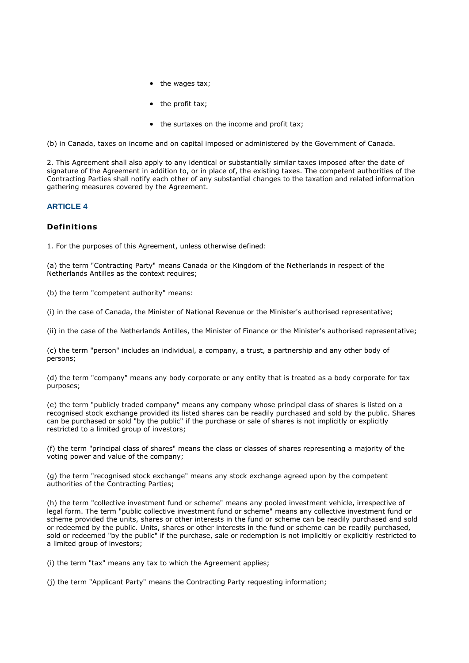- the wages tax;
- $\bullet$  the profit tax;
- the surtaxes on the income and profit tax;

(b) in Canada, taxes on income and on capital imposed or administered by the Government of Canada.

2. This Agreement shall also apply to any identical or substantially similar taxes imposed after the date of signature of the Agreement in addition to, or in place of, the existing taxes. The competent authorities of the Contracting Parties shall notify each other of any substantial changes to the taxation and related information gathering measures covered by the Agreement.

### **ARTICLE 4**

### **Definitions**

1. For the purposes of this Agreement, unless otherwise defined:

(a) the term "Contracting Party" means Canada or the Kingdom of the Netherlands in respect of the Netherlands Antilles as the context requires;

(b) the term "competent authority" means:

(i) in the case of Canada, the Minister of National Revenue or the Minister's authorised representative;

(ii) in the case of the Netherlands Antilles, the Minister of Finance or the Minister's authorised representative;

(c) the term "person" includes an individual, a company, a trust, a partnership and any other body of persons;

(d) the term "company" means any body corporate or any entity that is treated as a body corporate for tax purposes;

(e) the term "publicly traded company" means any company whose principal class of shares is listed on a recognised stock exchange provided its listed shares can be readily purchased and sold by the public. Shares can be purchased or sold "by the public" if the purchase or sale of shares is not implicitly or explicitly restricted to a limited group of investors;

(f) the term "principal class of shares" means the class or classes of shares representing a majority of the voting power and value of the company;

(g) the term "recognised stock exchange" means any stock exchange agreed upon by the competent authorities of the Contracting Parties;

(h) the term "collective investment fund or scheme" means any pooled investment vehicle, irrespective of legal form. The term "public collective investment fund or scheme" means any collective investment fund or scheme provided the units, shares or other interests in the fund or scheme can be readily purchased and sold or redeemed by the public. Units, shares or other interests in the fund or scheme can be readily purchased, sold or redeemed "by the public" if the purchase, sale or redemption is not implicitly or explicitly restricted to a limited group of investors;

(i) the term "tax" means any tax to which the Agreement applies;

(j) the term "Applicant Party" means the Contracting Party requesting information;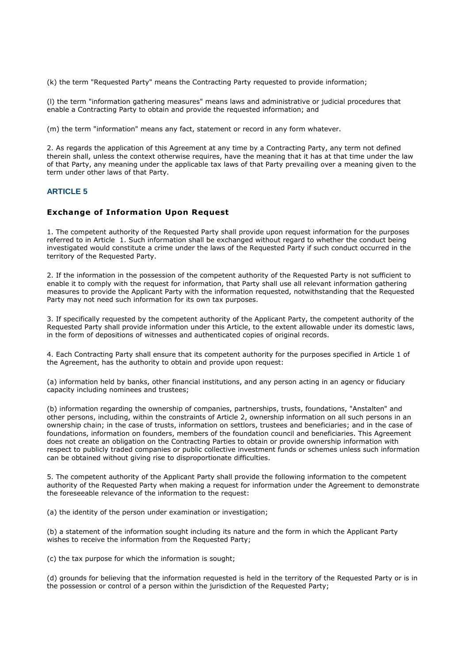(k) the term "Requested Party" means the Contracting Party requested to provide information;

(l) the term "information gathering measures" means laws and administrative or judicial procedures that enable a Contracting Party to obtain and provide the requested information; and

(m) the term "information" means any fact, statement or record in any form whatever.

2. As regards the application of this Agreement at any time by a Contracting Party, any term not defined therein shall, unless the context otherwise requires, have the meaning that it has at that time under the law of that Party, any meaning under the applicable tax laws of that Party prevailing over a meaning given to the term under other laws of that Party.

#### **ARTICLE 5**

#### **Exchange of Information Upon Request**

1. The competent authority of the Requested Party shall provide upon request information for the purposes referred to in Article 1. Such information shall be exchanged without regard to whether the conduct being investigated would constitute a crime under the laws of the Requested Party if such conduct occurred in the territory of the Requested Party.

2. If the information in the possession of the competent authority of the Requested Party is not sufficient to enable it to comply with the request for information, that Party shall use all relevant information gathering measures to provide the Applicant Party with the information requested, notwithstanding that the Requested Party may not need such information for its own tax purposes.

3. If specifically requested by the competent authority of the Applicant Party, the competent authority of the Requested Party shall provide information under this Article, to the extent allowable under its domestic laws, in the form of depositions of witnesses and authenticated copies of original records.

4. Each Contracting Party shall ensure that its competent authority for the purposes specified in Article 1 of the Agreement, has the authority to obtain and provide upon request:

(a) information held by banks, other financial institutions, and any person acting in an agency or fiduciary capacity including nominees and trustees;

(b) information regarding the ownership of companies, partnerships, trusts, foundations, "Anstalten" and other persons, including, within the constraints of Article 2, ownership information on all such persons in an ownership chain; in the case of trusts, information on settlors, trustees and beneficiaries; and in the case of foundations, information on founders, members of the foundation council and beneficiaries. This Agreement does not create an obligation on the Contracting Parties to obtain or provide ownership information with respect to publicly traded companies or public collective investment funds or schemes unless such information can be obtained without giving rise to disproportionate difficulties.

5. The competent authority of the Applicant Party shall provide the following information to the competent authority of the Requested Party when making a request for information under the Agreement to demonstrate the foreseeable relevance of the information to the request:

(a) the identity of the person under examination or investigation;

(b) a statement of the information sought including its nature and the form in which the Applicant Party wishes to receive the information from the Requested Party;

(c) the tax purpose for which the information is sought;

(d) grounds for believing that the information requested is held in the territory of the Requested Party or is in the possession or control of a person within the jurisdiction of the Requested Party;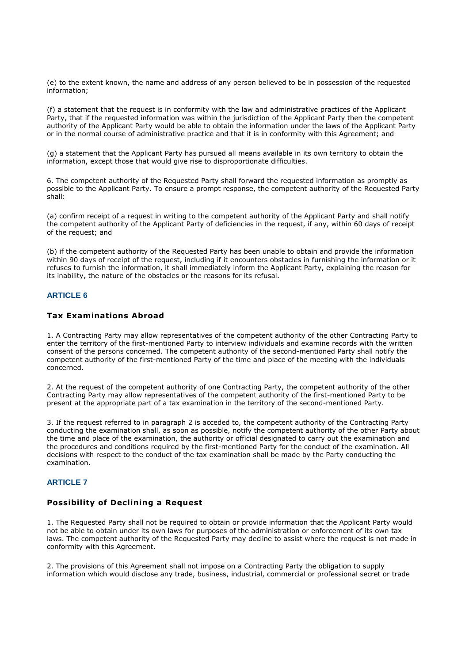(e) to the extent known, the name and address of any person believed to be in possession of the requested information;

(f) a statement that the request is in conformity with the law and administrative practices of the Applicant Party, that if the requested information was within the jurisdiction of the Applicant Party then the competent authority of the Applicant Party would be able to obtain the information under the laws of the Applicant Party or in the normal course of administrative practice and that it is in conformity with this Agreement; and

(g) a statement that the Applicant Party has pursued all means available in its own territory to obtain the information, except those that would give rise to disproportionate difficulties.

6. The competent authority of the Requested Party shall forward the requested information as promptly as possible to the Applicant Party. To ensure a prompt response, the competent authority of the Requested Party shall:

(a) confirm receipt of a request in writing to the competent authority of the Applicant Party and shall notify the competent authority of the Applicant Party of deficiencies in the request, if any, within 60 days of receipt of the request; and

(b) if the competent authority of the Requested Party has been unable to obtain and provide the information within 90 days of receipt of the request, including if it encounters obstacles in furnishing the information or it refuses to furnish the information, it shall immediately inform the Applicant Party, explaining the reason for its inability, the nature of the obstacles or the reasons for its refusal.

#### **ARTICLE 6**

#### **Tax Examinations Abroad**

1. A Contracting Party may allow representatives of the competent authority of the other Contracting Party to enter the territory of the first-mentioned Party to interview individuals and examine records with the written consent of the persons concerned. The competent authority of the second-mentioned Party shall notify the competent authority of the first-mentioned Party of the time and place of the meeting with the individuals concerned.

2. At the request of the competent authority of one Contracting Party, the competent authority of the other Contracting Party may allow representatives of the competent authority of the first-mentioned Party to be present at the appropriate part of a tax examination in the territory of the second-mentioned Party.

3. If the request referred to in paragraph 2 is acceded to, the competent authority of the Contracting Party conducting the examination shall, as soon as possible, notify the competent authority of the other Party about the time and place of the examination, the authority or official designated to carry out the examination and the procedures and conditions required by the first-mentioned Party for the conduct of the examination. All decisions with respect to the conduct of the tax examination shall be made by the Party conducting the examination.

#### **ARTICLE 7**

#### **Possibility of Declining a Request**

1. The Requested Party shall not be required to obtain or provide information that the Applicant Party would not be able to obtain under its own laws for purposes of the administration or enforcement of its own tax laws. The competent authority of the Requested Party may decline to assist where the request is not made in conformity with this Agreement.

2. The provisions of this Agreement shall not impose on a Contracting Party the obligation to supply information which would disclose any trade, business, industrial, commercial or professional secret or trade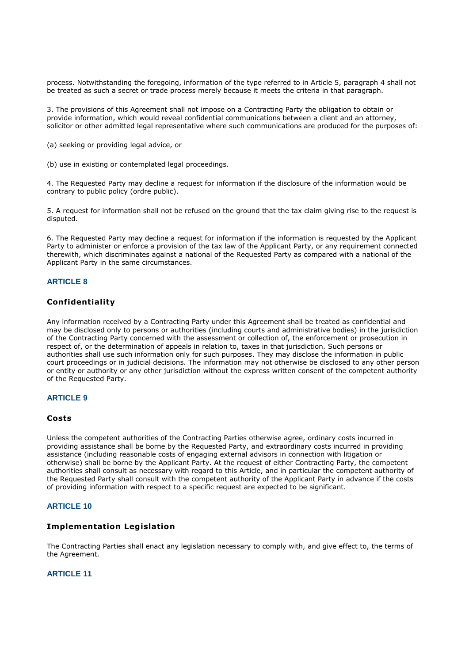process. Notwithstanding the foregoing, information of the type referred to in Article 5, paragraph 4 shall not be treated as such a secret or trade process merely because it meets the criteria in that paragraph.

3. The provisions of this Agreement shall not impose on a Contracting Party the obligation to obtain or provide information, which would reveal confidential communications between a client and an attorney, solicitor or other admitted legal representative where such communications are produced for the purposes of:

(a) seeking or providing legal advice, or

(b) use in existing or contemplated legal proceedings.

4. The Requested Party may decline a request for information if the disclosure of the information would be contrary to public policy (ordre public).

5. A request for information shall not be refused on the ground that the tax claim giving rise to the request is disputed.

6. The Requested Party may decline a request for information if the information is requested by the Applicant Party to administer or enforce a provision of the tax law of the Applicant Party, or any requirement connected therewith, which discriminates against a national of the Requested Party as compared with a national of the Applicant Party in the same circumstances.

### **ARTICLE 8**

### **Confidentiality**

Any information received by a Contracting Party under this Agreement shall be treated as confidential and may be disclosed only to persons or authorities (including courts and administrative bodies) in the jurisdiction of the Contracting Party concerned with the assessment or collection of, the enforcement or prosecution in respect of, or the determination of appeals in relation to, taxes in that jurisdiction. Such persons or authorities shall use such information only for such purposes. They may disclose the information in public court proceedings or in judicial decisions. The information may not otherwise be disclosed to any other person or entity or authority or any other jurisdiction without the express written consent of the competent authority of the Requested Party.

#### **ARTICLE 9**

#### **Costs**

Unless the competent authorities of the Contracting Parties otherwise agree, ordinary costs incurred in providing assistance shall be borne by the Requested Party, and extraordinary costs incurred in providing assistance (including reasonable costs of engaging external advisors in connection with litigation or otherwise) shall be borne by the Applicant Party. At the request of either Contracting Party, the competent authorities shall consult as necessary with regard to this Article, and in particular the competent authority of the Requested Party shall consult with the competent authority of the Applicant Party in advance if the costs of providing information with respect to a specific request are expected to be significant.

#### **ARTICLE 10**

#### **Implementation Legislation**

The Contracting Parties shall enact any legislation necessary to comply with, and give effect to, the terms of the Agreement.

### **ARTICLE 11**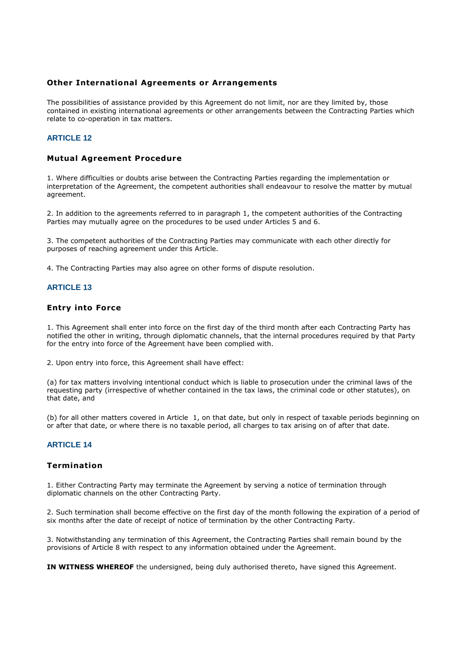#### **Other International Agreements or Arrangements**

The possibilities of assistance provided by this Agreement do not limit, nor are they limited by, those contained in existing international agreements or other arrangements between the Contracting Parties which relate to co-operation in tax matters.

### **ARTICLE 12**

### **Mutual Agreement Procedure**

1. Where difficulties or doubts arise between the Contracting Parties regarding the implementation or interpretation of the Agreement, the competent authorities shall endeavour to resolve the matter by mutual agreement.

2. In addition to the agreements referred to in paragraph 1, the competent authorities of the Contracting Parties may mutually agree on the procedures to be used under Articles 5 and 6.

3. The competent authorities of the Contracting Parties may communicate with each other directly for purposes of reaching agreement under this Article.

4. The Contracting Parties may also agree on other forms of dispute resolution.

#### **ARTICLE 13**

#### **Entry into Force**

1. This Agreement shall enter into force on the first day of the third month after each Contracting Party has notified the other in writing, through diplomatic channels, that the internal procedures required by that Party for the entry into force of the Agreement have been complied with.

2. Upon entry into force, this Agreement shall have effect:

(a) for tax matters involving intentional conduct which is liable to prosecution under the criminal laws of the requesting party (irrespective of whether contained in the tax laws, the criminal code or other statutes), on that date, and

(b) for all other matters covered in Article 1, on that date, but only in respect of taxable periods beginning on or after that date, or where there is no taxable period, all charges to tax arising on of after that date.

## **ARTICLE 14**

### **Termination**

1. Either Contracting Party may terminate the Agreement by serving a notice of termination through diplomatic channels on the other Contracting Party.

2. Such termination shall become effective on the first day of the month following the expiration of a period of six months after the date of receipt of notice of termination by the other Contracting Party.

3. Notwithstanding any termination of this Agreement, the Contracting Parties shall remain bound by the provisions of Article 8 with respect to any information obtained under the Agreement.

**IN WITNESS WHEREOF** the undersigned, being duly authorised thereto, have signed this Agreement.